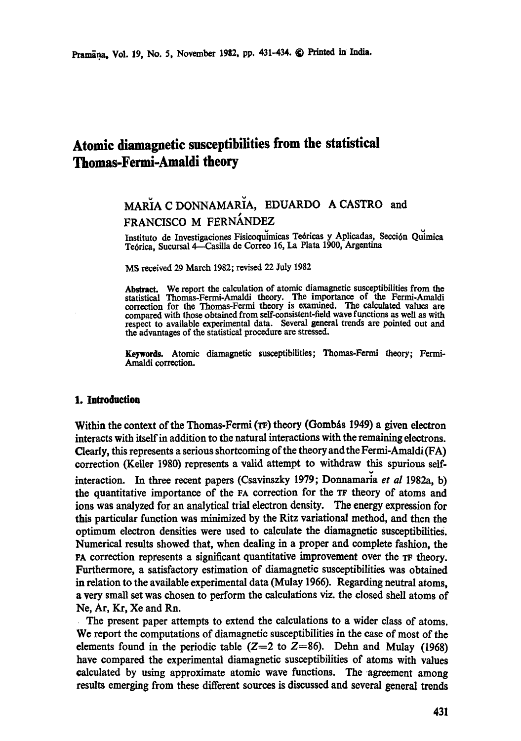# **Atomic diamagnetic susceptibilities from the statistical Thomas-Fermi-Amaldi theory**

## MARIA C DONNAMARIA, EDUARDO A CASTRO and FRANCISCO M FERNÁNDEZ

Instituto de Investigaciones Fisicoquimicas Teóricas y Aplicadas, Sección Quimica Teórica, Sucursal 4-Casilla de Correo 16, La Plata 1900, Argentina

MS received 29 March 1982; revised 22 July 1982

Abstract. We report the calculation of atomic diamagnetic susceptibilities from the statistical Thomas-Fermi-Amaldi theory. The importance of the Fermi-Amaldi correction for the Thomas-Fermi theory is examined. The calculated values are compared with those obtained from self-consistent-field wave functions as well as with respect to available experimental data. Several general trends are pointed out and the advantages of the statistical procedure are stressed.

**Keywords.** Atomic diamagnetic susceptibilities; Thomas.Fermi theory; Fermi-Amaldi correction.

## **1. Introduction**

Within the context of the Thomas-Fermi  $(\text{TF})$  theory (Gombas 1949) a given electron interacts with itself in addition to the natural interactions with the remaining electrons. Clearly, this represents a serious shortcoming of the theory and the Fermi-Amaldi (FA) correction (Keller 1980) represents a valid attempt to withdraw this spurious selfinteraction. In three recent papers (Csavinszky 1979; Donnamaria *et al* 1982a, b) the quantitative importance of the FA correction for the TF theory of atoms and ions was analyzed for an analytical trial electron density. The energy expression for this particular function was minimized by the Ritz variational method, and then the optimum electron densities were used to calculate the diamagnetic susceptibilities. Numerical results showed that, when dealing in a proper and complete fashion, the rA correction represents a significant quantitative improvement over the TF theory. Furthermore, a satisfactory estimation of diamagnetic susceptibilities was obtained in relation to the available experimental data (Mulay 1966). Regarding neutral atoms, a very small set was chosen to perform the calculations viz. the closed shell atoms of Ne, Ar, Kr, Xe and Rn.

The present paper attempts to extend the calculations to a wider class of atoms. We report the computations of diamagnetic susceptibilities in the case of most of the elements found in the periodic table ( $Z=2$  to  $Z=86$ ). Dehn and Mulay (1968) have compared the experimental diamagnetic susceptibilities of atoms with values calculated by using approximate atomic wave functions. The agreement among results emerging from these different sources is discussed and several general trends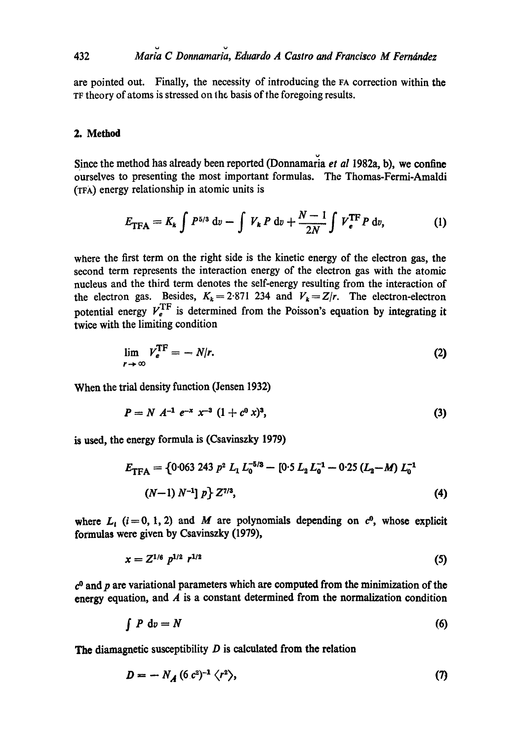are pointed out. Finally, the necessity of introducing the FA correction within the TF theory of atoms is stressed on the basis of the foregoing results.

#### 2. Method

Since the method has already been reported (Donnamaria *et al* 1982a, b), we confine ourselves to presenting the most important formulas. The Thomas-Fermi-Amaldi (TFA) energy relationship in atomic units is

$$
E_{\text{TFA}} = K_k \int P^{5/3} \, \mathrm{d}v - \int V_k \, P \, \mathrm{d}v + \frac{N-1}{2N} \int V_{\,}^{\text{TF}} P \, \mathrm{d}v, \tag{1}
$$

where the first term on the right side is the kinetic energy of the electron gas, the second term represents the interaction energy of the electron gas with the atomic nucleus and the third term denotes the self-energy resulting from the interaction of the electron gas. Besides,  $K_k = 2.871$  234 and  $V_k = Z/r$ . The electron-electron potential energy  $V_e^{\text{TF}}$  is determined from the Poisson's equation by integrating it twice with the limiting condition

$$
\lim_{r \to \infty} V_e^{\text{TF}} = -N/r. \tag{2}
$$

When the trial density function (Jensen 1932)

$$
P = N A^{-1} e^{-x} x^{-3} (1 + c^0 x)^3,
$$
 (3)

is used, the energy formula is (Csavinszky 1979)

$$
E_{\text{TFA}} = \{0.063 \ 243 \ p^2 \ L_1 \ L_0^{-5/3} - [0.5 \ L_2 \ L_0^{-1} - 0.25 \ (L_2 - M) \ L_0^{-1}
$$
\n
$$
(N-1) \ N^{-1} \ p} \ Z^{\gamma/3}, \tag{4}
$$

where  $L_i$  (i=0, 1, 2) and M are polynomials depending on  $c^0$ , whose explicit formulas were given by Csavinszky (1979),

$$
x = Z^{1/6} p^{1/2} r^{1/2} \tag{5}
$$

 $c<sup>0</sup>$  and p are variational parameters which are computed from the minimization of the energy equation, and  $\vec{A}$  is a constant determined from the normalization condition

$$
\int P \, \mathrm{d}v = N \tag{6}
$$

**The** diamagnetic susceptibility D is calculated from the relation

$$
D = -N_A (6 c^2)^{-1} \langle r^2 \rangle, \tag{7}
$$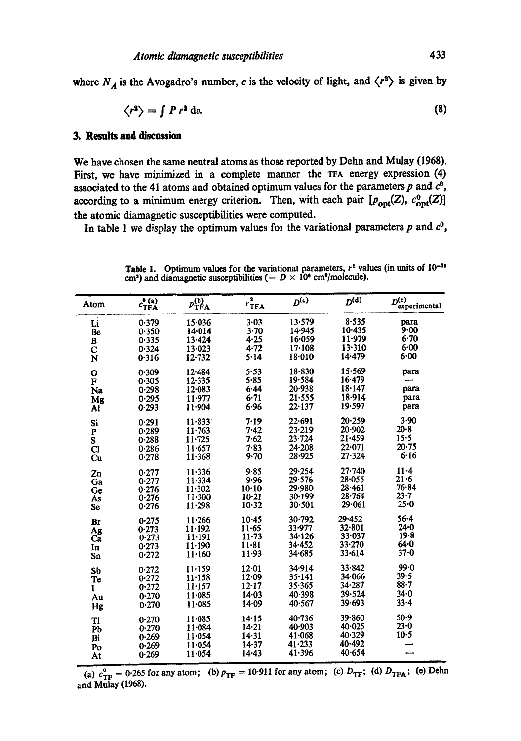where  $N_A$  is the Avogadro's number, c is the velocity of light, and  $\langle r^2 \rangle$  is given by

$$
\langle r^2 \rangle = \int P r^2 \, \mathrm{d}v. \tag{8}
$$

## **3. Resnlts and discession**

We have chosen the same neutral atoms as those reported by Dehn and Mulay (1968). First, we have minimized in a complete manner the  $TRA$  energy expression  $(4)$ associated to the 41 atoms and obtained optimum values for the parameters  $p$  and  $c^0$ , according to a minimum energy criterion. Then, with each pair  $[p_{\text{opt}}(Z), c_{\text{opt}}^0(Z)]$ the atomic diamagnetic susceptibilities were computed.

In table 1 we display the optimum values for the variational parameters  $p$  and  $c^0$ ,

| Atom                   | $c_{\text{TFA}}^0$ | $p_{\text{TFA}}^{(b)}$ | 2<br>$r_{\rm TFA}$ | $D^{(\epsilon)}$ | $D^{(d)}$  | $D^{(e)}$<br>experimental |
|------------------------|--------------------|------------------------|--------------------|------------------|------------|---------------------------|
| Li                     | 0.379              | 15.036                 | 3.03               | 13.579           | 8.535      | para                      |
| Be                     | 0.350              | 14.014                 | 3.70               | 14.945           | 10.435     | 9.00                      |
| B                      | 0.335              | 13.424                 | 4.25               | 16.059           | 11.979     | 6.70                      |
| $\mathbf C$            | 0.324              | $13 - 023$             | 4.72               | $17-108$         | 13.310     | 6.00                      |
| $\bar{\mathbf{N}}$     | 0.316              | 12.732                 | 5.14               | $18 - 010$       | 14.479     | $6 - 00$                  |
| $\mathbf o$            | 0.309              | 12.484                 | 5.53               | 18.830           | 15.569     | para                      |
| $\mathbf{F}$           | 0.305              | 12.335                 | $5 - 85$           | 19.584           | 16.479     |                           |
| Na                     | 0.298              | $12 - 083$             | 6.44               | 20.938           | 18.147     | para                      |
| Mg                     | 0.295              | 11.977                 | 6.71               | 21.555           | 18.914     | para                      |
| Aľ                     | 0.293              | 11.904                 | 6.96               | $22 - 137$       | 19.597     | para                      |
| Si                     | 0.291              | $11 - 833$             | 7.19               | 22.691           | 20.259     | $3-90$                    |
| P                      | 0.289              | $11 - 763$             | 7.42               | 23.219           | 20.902     | $20-8$                    |
| $\bar{\mathbf{s}}$     | 0.288              | $11 - 725$             | 7.62               | $23 - 724$       | 21.459     | 15.5                      |
| $\overline{\text{Cl}}$ | 0.286              | 11.657                 | 7.83               | 24.208           | 22.071     | $20 - 75$                 |
| Cu                     | 0.278              | 11.368                 | 9.70               | 28.925           | $27 - 324$ | 6.16                      |
| Zn                     | 0.277              | $11 - 336$             | $9 - 85$           | 29.254           | $27 - 740$ | $11 - 4$                  |
| Ga                     | 0.277              | $11 - 334$             | 9.96               | 29.576           | 28.055     | $21 - 6$                  |
| Ge                     | 0.276              | $11 - 302$             | $10-10$            | 29.980           | 28.461     | 76.84                     |
| Às                     | 0.276              | $11-300$               | $10 - 21$          | 30.199           | 28.764     | $23 - 7$                  |
| <b>Se</b>              | 0.276              | 11.298                 | $10 - 32$          | 30.501           | 29.061     | 25.0                      |
| Br                     | 0.275              | 11.266                 | $10-45$            | 30.792           | 29.452     | $56 - 4$                  |
| Ag                     | 0.273              | 11.192                 | $11 - 65$          | 33.977           | 32.801     | $24 - 0$                  |
| Ca                     | 0.273              | 11.191                 | $11 - 73$          | 34.126           | 33.037     | 19.8                      |
| In                     | 0.273              | 11.190                 | $11 - 81$          | 34.452           | 33.270     | 64.0                      |
| Sn                     | 0.272              | 11.160                 | 11.93              | 34.685           | 33.614     | 37.0                      |
| Sb                     | 0.272              | 11.159                 | 12.01              | 34.914           | 33.842     | 99.0                      |
| <b>Te</b>              | 0.272              | $11 - 158$             | 12.09              | 35.141           | 34.066     | 39.5                      |
| I                      | 0.272              | 11.157                 | $12 - 17$          | 35.365           | 34.287     | $88 - 7$                  |
| Au                     | 0.270              | 11.085                 | 14.03              | 40.398           | 39.524     | $34 - 0$                  |
| Hg                     | 0.270              | $11 - 085$             | 14.09              | 40.567           | 39.693     | $33 - 4$                  |
| T1                     | 0.270              | 11.085                 | 14.15              | $40 - 736$       | 39.860     | $50-9$                    |
| Pb                     | 0.270              | 11.084                 | 14.21              | 40.903           | $40 - 025$ | $23 - 0$                  |
| Bi                     | 0.269              | 11.054                 | 14.31              | 41.068           | 40.329     | $10-5$                    |
| Po                     | 0.269              | 11.054                 | 14.37              | 41.233           | 40.492     |                           |
| At                     | 0.269              | 11.054                 | $14 - 43$          | 41.396           | 40.654     |                           |

**Table 1.**  cm<sup>3</sup>) and Optimum values for the variational parameters,  $r^2$  values (in units of  $10^{-16}$ ) diamagnetic susceptibilities ( $-D \times 10^6$  cm<sup>s</sup>/molecule).

(a)  $c_{\text{TF}}^0$  = 0.265 for any atom; (b)  $p_{\text{TF}}$  = 10.911 for any atom; (c)  $D_{\text{TF}}$ ; (d)  $D_{\text{TFA}}$ ; (e) Dehn and Mulay (1968).